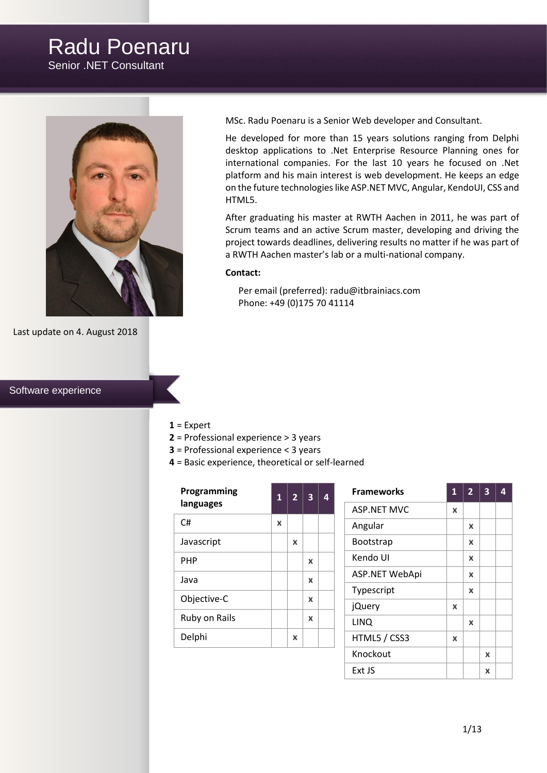# Radu Poenaru

Senior .NET Consultant



Last update on 4. August 2018

### Software experience

MSc. Radu Poenaru is a Senior Web developer and Consultant.

He developed for more than 15 years solutions ranging from Delphi desktop applications to .Net Enterprise Resource Planning ones for international companies. For the last 10 years he focused on .Net platform and his main interest is web development. He keeps an edge on the future technologies like ASP.NET MVC, Angular, KendoUI, CSS and HTML5.

After graduating his master at RWTH Aachen in 2011, he was part of Scrum teams and an active Scrum master, developing and driving the project towards deadlines, delivering results no matter if he was part of a RWTH Aachen master's lab or a multi-national company.

### **Contact:**

Per email (preferred): [radu@itbrainiacs.com](mailto:radu@itbrainiacs.com) Phone: +49 (0)175 70 41114

#### **1** = Expert

- **2** = Professional experience > 3 years
- **3** = Professional experience < 3 years
- **4** = Basic experience, theoretical or self-learned

| Programming<br>languages |   | $\overline{2}$ | 3 | 4 |
|--------------------------|---|----------------|---|---|
| C#                       | X |                |   |   |
| Javascript               |   | x              |   |   |
| PHP                      |   |                | X |   |
| Java                     |   |                | X |   |
| Objective-C              |   |                | X |   |
| Ruby on Rails            |   |                | X |   |
| Delphi                   |   | X              |   |   |

| <b>Frameworks</b>  | $\mathbf{1}$ | $\overline{2}$ | 3 |  |
|--------------------|--------------|----------------|---|--|
| <b>ASP.NET MVC</b> | x            |                |   |  |
| Angular            |              | X              |   |  |
| Bootstrap          |              | X              |   |  |
| Kendo UI           |              | X              |   |  |
| ASP.NET WebApi     |              | X              |   |  |
| Typescript         |              | X              |   |  |
| jQuery             | x            |                |   |  |
| <b>LINQ</b>        |              | X              |   |  |
| HTML5 / CSS3       | x            |                |   |  |
| Knockout           |              |                | x |  |
| Ext JS             |              |                | x |  |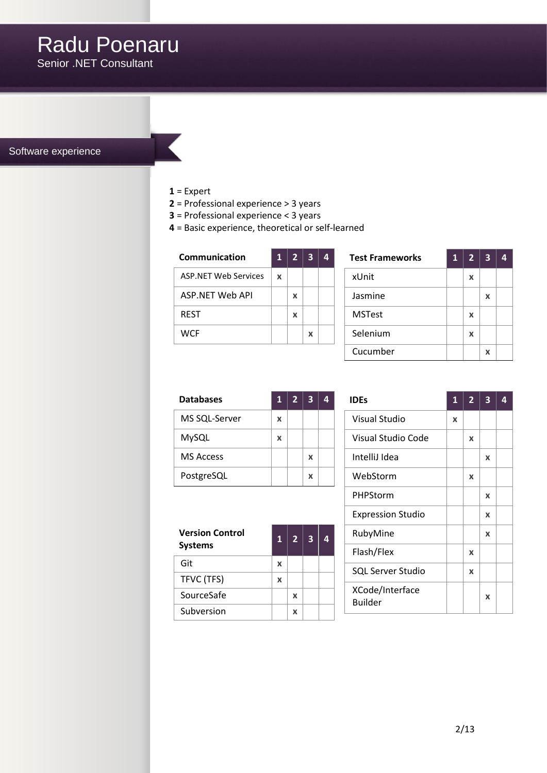Software experience

## **1** = Expert

- **2** = Professional experience > 3 years
- **3** = Professional experience < 3 years
- **4** = Basic experience, theoretical or self-learned

| Communication               |   | $\overline{2}$ | 3 |  |
|-----------------------------|---|----------------|---|--|
| <b>ASP NFT Web Services</b> | X |                |   |  |
| ASP NET Web API             |   | x              |   |  |
| <b>REST</b>                 |   | x              |   |  |
| WCF                         |   |                | x |  |

| <b>Test Frameworks</b> |  | 2 <sup>1</sup> | $\overline{\mathbf{3}}$ |  |
|------------------------|--|----------------|-------------------------|--|
| xUnit                  |  | X              |                         |  |
| Jasmine                |  |                | x                       |  |
| <b>MSTest</b>          |  | X              |                         |  |
| Selenium               |  | X              |                         |  |
| Cucumber               |  |                | x                       |  |

| <b>Databases</b> |   | 2 <sup>1</sup> | $\overline{\mathbf{3}}$ | 4 |
|------------------|---|----------------|-------------------------|---|
| MS SQL-Server    | x |                |                         |   |
| MySQL            | x |                |                         |   |
| <b>MS Access</b> |   |                | x                       |   |
| PostgreSQL       |   |                | x                       |   |

| <b>Version Control</b><br><b>Systems</b> |   | 2 <sup>1</sup> | $\overline{\mathbf{3}}$ | 4 |
|------------------------------------------|---|----------------|-------------------------|---|
| Git                                      | x |                |                         |   |
| TFVC (TFS)                               | X |                |                         |   |
| SourceSafe                               |   | x              |                         |   |
| Subversion                               |   | x              |                         |   |

| <b>IDEs</b>                       | 1 | $\overline{2}$ | $\overline{\mathbf{3}}$   | 4 |
|-----------------------------------|---|----------------|---------------------------|---|
| <b>Visual Studio</b>              | x |                |                           |   |
| Visual Studio Code                |   | x              |                           |   |
| IntelliJ Idea                     |   |                | X                         |   |
| WebStorm                          |   | x              |                           |   |
| PHPStorm                          |   |                | X                         |   |
| <b>Expression Studio</b>          |   |                | X                         |   |
| RubyMine                          |   |                | X                         |   |
| Flash/Flex                        |   | X              |                           |   |
| <b>SQL Server Studio</b>          |   | x              |                           |   |
| XCode/Interface<br><b>Builder</b> |   |                | $\boldsymbol{\mathsf{x}}$ |   |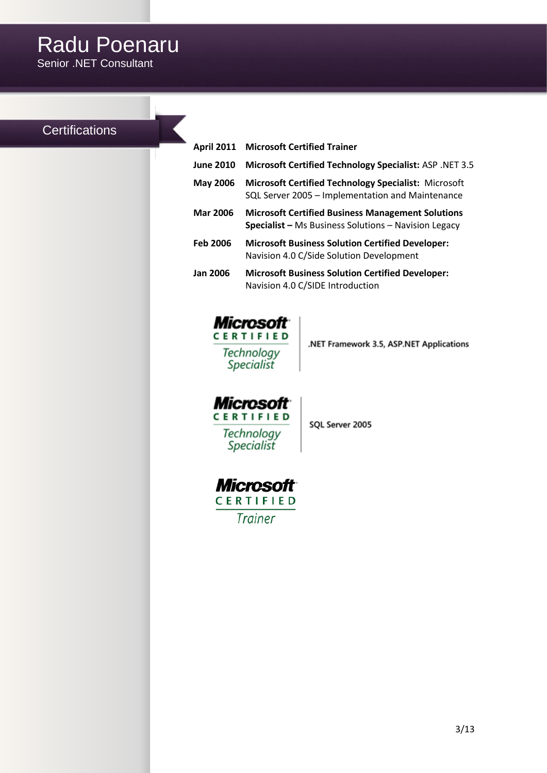# **Certifications**

| <b>April 2011</b> | <b>Microsoft Certified Trainer</b>                                                                                      |
|-------------------|-------------------------------------------------------------------------------------------------------------------------|
| <b>June 2010</b>  | Microsoft Certified Technology Specialist: ASP .NET 3.5                                                                 |
| <b>May 2006</b>   | <b>Microsoft Certified Technology Specialist: Microsoft</b><br>SQL Server 2005 - Implementation and Maintenance         |
| <b>Mar 2006</b>   | <b>Microsoft Certified Business Management Solutions</b><br><b>Specialist</b> – Ms Business Solutions – Navision Legacy |
| <b>Feb 2006</b>   | <b>Microsoft Business Solution Certified Developer:</b><br>Navision 4.0 C/Side Solution Development                     |
| <b>Jan 2006</b>   | <b>Microsoft Business Solution Certified Developer:</b><br>Navision 4.0 C/SIDE Introduction                             |
|                   |                                                                                                                         |



Technology<br>Specialist

.NET Framework 3.5, ASP.NET Applications



SQL Server 2005

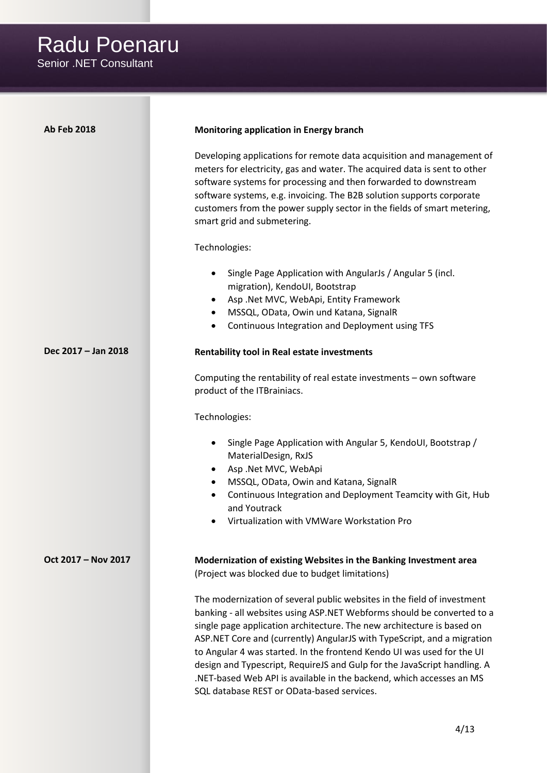| <b>Ab Feb 2018</b>  | Monitoring application in Energy branch                                                                                                                                                                                                                                                                                                                                                                                                                                                                                                                                            |
|---------------------|------------------------------------------------------------------------------------------------------------------------------------------------------------------------------------------------------------------------------------------------------------------------------------------------------------------------------------------------------------------------------------------------------------------------------------------------------------------------------------------------------------------------------------------------------------------------------------|
|                     | Developing applications for remote data acquisition and management of<br>meters for electricity, gas and water. The acquired data is sent to other<br>software systems for processing and then forwarded to downstream<br>software systems, e.g. invoicing. The B2B solution supports corporate<br>customers from the power supply sector in the fields of smart metering,<br>smart grid and submetering.                                                                                                                                                                          |
|                     | Technologies:                                                                                                                                                                                                                                                                                                                                                                                                                                                                                                                                                                      |
|                     | Single Page Application with AngularJs / Angular 5 (incl.<br>٠<br>migration), KendoUI, Bootstrap<br>Asp.Net MVC, WebApi, Entity Framework<br>٠<br>MSSQL, OData, Owin und Katana, SignalR<br>$\bullet$<br>Continuous Integration and Deployment using TFS<br>٠                                                                                                                                                                                                                                                                                                                      |
| Dec 2017 - Jan 2018 | Rentability tool in Real estate investments                                                                                                                                                                                                                                                                                                                                                                                                                                                                                                                                        |
|                     | Computing the rentability of real estate investments - own software<br>product of the ITBrainiacs.                                                                                                                                                                                                                                                                                                                                                                                                                                                                                 |
|                     | Technologies:                                                                                                                                                                                                                                                                                                                                                                                                                                                                                                                                                                      |
|                     | Single Page Application with Angular 5, KendoUI, Bootstrap /<br>٠<br>MaterialDesign, RxJS<br>Asp .Net MVC, WebApi<br>٠<br>MSSQL, OData, Owin and Katana, SignalR<br>٠<br>Continuous Integration and Deployment Teamcity with Git, Hub<br>٠<br>and Youtrack<br>Virtualization with VMWare Workstation Pro                                                                                                                                                                                                                                                                           |
| Oct 2017 - Nov 2017 | Modernization of existing Websites in the Banking Investment area<br>(Project was blocked due to budget limitations)                                                                                                                                                                                                                                                                                                                                                                                                                                                               |
|                     | The modernization of several public websites in the field of investment<br>banking - all websites using ASP.NET Webforms should be converted to a<br>single page application architecture. The new architecture is based on<br>ASP.NET Core and (currently) AngularJS with TypeScript, and a migration<br>to Angular 4 was started. In the frontend Kendo UI was used for the UI<br>design and Typescript, RequireJS and Gulp for the JavaScript handling. A<br>.NET-based Web API is available in the backend, which accesses an MS<br>SQL database REST or OData-based services. |
|                     |                                                                                                                                                                                                                                                                                                                                                                                                                                                                                                                                                                                    |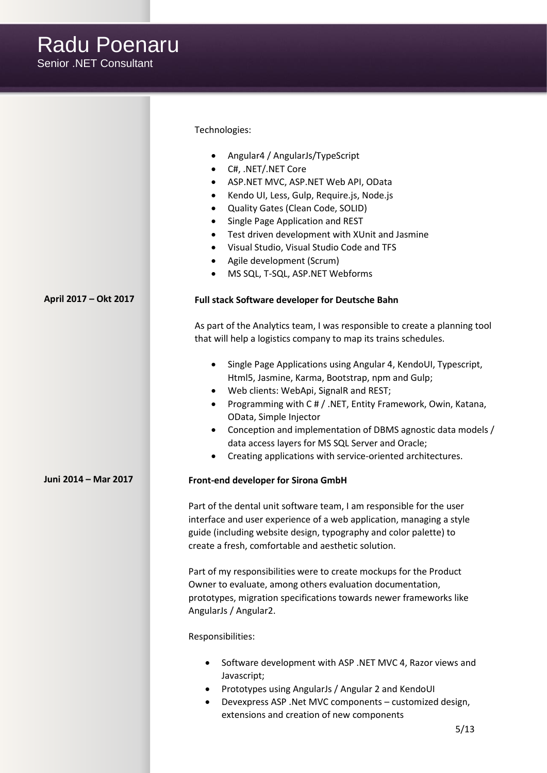|                       | Technologies:                                                                                                               |
|-----------------------|-----------------------------------------------------------------------------------------------------------------------------|
|                       | Angular4 / AngularJs/TypeScript<br>$\bullet$                                                                                |
|                       | C#, .NET/.NET Core<br>$\bullet$                                                                                             |
|                       | ASP.NET MVC, ASP.NET Web API, OData<br>$\bullet$                                                                            |
|                       | Kendo UI, Less, Gulp, Require.js, Node.js<br>$\bullet$                                                                      |
|                       | Quality Gates (Clean Code, SOLID)<br>٠<br>Single Page Application and REST                                                  |
|                       | Test driven development with XUnit and Jasmine<br>$\bullet$                                                                 |
|                       | Visual Studio, Visual Studio Code and TFS<br>$\bullet$                                                                      |
|                       | Agile development (Scrum)<br>$\bullet$                                                                                      |
|                       | MS SQL, T-SQL, ASP.NET Webforms                                                                                             |
| April 2017 - Okt 2017 | Full stack Software developer for Deutsche Bahn                                                                             |
|                       |                                                                                                                             |
|                       | As part of the Analytics team, I was responsible to create a planning tool                                                  |
|                       | that will help a logistics company to map its trains schedules.                                                             |
|                       | Single Page Applications using Angular 4, KendoUI, Typescript,<br>$\bullet$                                                 |
|                       | Html5, Jasmine, Karma, Bootstrap, npm and Gulp;                                                                             |
|                       | Web clients: WebApi, SignalR and REST;<br>$\bullet$                                                                         |
|                       | Programming with C # / .NET, Entity Framework, Owin, Katana,<br>٠                                                           |
|                       | OData, Simple Injector                                                                                                      |
|                       | Conception and implementation of DBMS agnostic data models /<br>$\bullet$                                                   |
|                       | data access layers for MS SQL Server and Oracle;<br>Creating applications with service-oriented architectures.<br>$\bullet$ |
|                       |                                                                                                                             |
| Juni 2014 - Mar 2017  | Front-end developer for Sirona GmbH                                                                                         |
|                       | Part of the dental unit software team, I am responsible for the user                                                        |
|                       | interface and user experience of a web application, managing a style                                                        |
|                       | guide (including website design, typography and color palette) to                                                           |
|                       | create a fresh, comfortable and aesthetic solution.                                                                         |
|                       | Part of my responsibilities were to create mockups for the Product                                                          |
|                       | Owner to evaluate, among others evaluation documentation,                                                                   |
|                       | prototypes, migration specifications towards newer frameworks like                                                          |
|                       | AngularJs / Angular2.                                                                                                       |
|                       | Responsibilities:                                                                                                           |
|                       | Software development with ASP .NET MVC 4, Razor views and<br>٠                                                              |
|                       | Javascript;                                                                                                                 |
|                       | Prototypes using AngularJs / Angular 2 and KendoUI                                                                          |
|                       | Devexpress ASP. Net MVC components - customized design,<br>$\bullet$                                                        |
|                       | extensions and creation of new components<br>5/13                                                                           |
|                       |                                                                                                                             |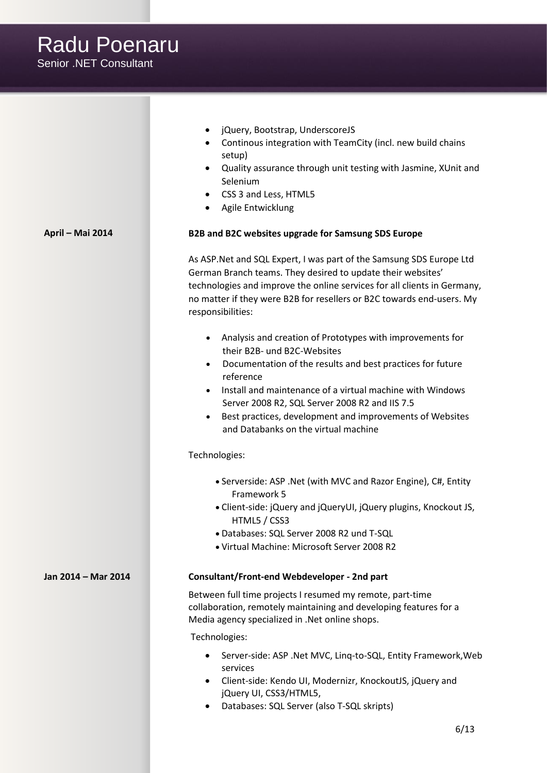Senior .NET Consultant • jQuery, Bootstrap, UnderscoreJS • Continous integration with TeamCity (incl. new build chains setup) • Quality assurance through unit testing with Jasmine, XUnit and Selenium • CSS 3 and Less, HTML5 • Agile Entwicklung **April – Mai 2014 B2B and B2C websites upgrade for Samsung SDS Europe** As ASP.Net and SQL Expert, I was part of the Samsung SDS Europe Ltd German Branch teams. They desired to update their websites' technologies and improve the online services for all clients in Germany, no matter if they were B2B for resellers or B2C towards end-users. My responsibilities: • Analysis and creation of Prototypes with improvements for their B2B- und B2C-Websites • Documentation of the results and best practices for future reference • Install and maintenance of a virtual machine with Windows Server 2008 R2, SQL Server 2008 R2 and IIS 7.5 • Best practices, development and improvements of Websites and Databanks on the virtual machine Technologies: • Serverside: ASP .Net (with MVC and Razor Engine), C#, Entity Framework 5 • Client-side: jQuery and jQueryUI, jQuery plugins, Knockout JS, HTML5 / CSS3 • Databases: SQL Server 2008 R2 und T-SQL • Virtual Machine: Microsoft Server 2008 R2 **Jan 2014 – Mar 2014 Consultant/Front-end Webdeveloper - 2nd part** Between full time projects I resumed my remote, part-time collaboration, remotely maintaining and developing features for a Media agency specialized in .Net online shops. Technologies: • Server-side: ASP .Net MVC, Linq-to-SQL, Entity Framework,Web services • Client-side: Kendo UI, Modernizr, KnockoutJS, jQuery and jQuery UI, CSS3/HTML5, • Databases: SQL Server (also T-SQL skripts)

Radu Poenaru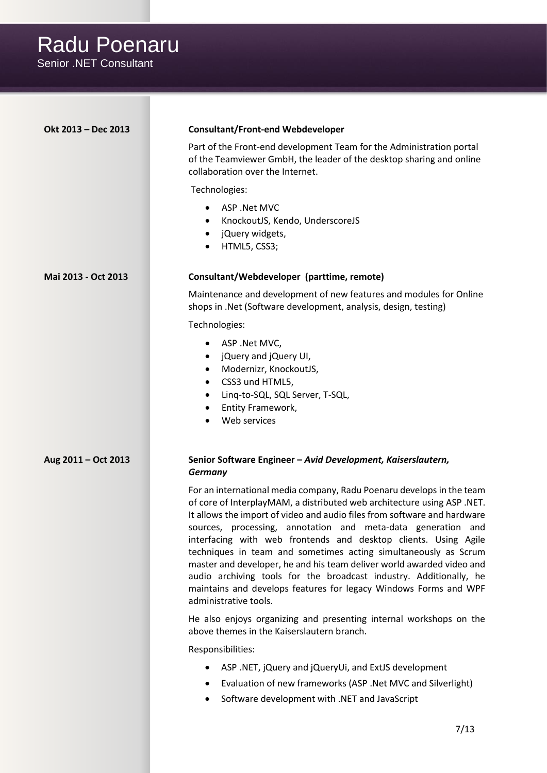Radu Poenaru

Senior .NET Consultant

| Okt 2013 - Dec 2013 | <b>Consultant/Front-end Webdeveloper</b>                                                                                                                                                                                                                                                                                                                                                                                                                                                                                                                                                                                                                                      |
|---------------------|-------------------------------------------------------------------------------------------------------------------------------------------------------------------------------------------------------------------------------------------------------------------------------------------------------------------------------------------------------------------------------------------------------------------------------------------------------------------------------------------------------------------------------------------------------------------------------------------------------------------------------------------------------------------------------|
|                     | Part of the Front-end development Team for the Administration portal<br>of the Teamviewer GmbH, the leader of the desktop sharing and online<br>collaboration over the Internet.                                                                                                                                                                                                                                                                                                                                                                                                                                                                                              |
|                     | Technologies:                                                                                                                                                                                                                                                                                                                                                                                                                                                                                                                                                                                                                                                                 |
|                     | ASP .Net MVC<br>KnockoutJS, Kendo, UnderscoreJS<br>$\bullet$<br>jQuery widgets,<br>HTML5, CSS3;<br>٠                                                                                                                                                                                                                                                                                                                                                                                                                                                                                                                                                                          |
| Mai 2013 - Oct 2013 | Consultant/Webdeveloper (parttime, remote)                                                                                                                                                                                                                                                                                                                                                                                                                                                                                                                                                                                                                                    |
|                     | Maintenance and development of new features and modules for Online<br>shops in .Net (Software development, analysis, design, testing)                                                                                                                                                                                                                                                                                                                                                                                                                                                                                                                                         |
|                     | Technologies:                                                                                                                                                                                                                                                                                                                                                                                                                                                                                                                                                                                                                                                                 |
|                     | ASP .Net MVC,<br>$\bullet$<br>jQuery and jQuery UI,<br>$\bullet$<br>Modernizr, KnockoutJS,<br>$\bullet$<br>CSS3 und HTML5,<br>$\bullet$<br>Linq-to-SQL, SQL Server, T-SQL,<br>٠                                                                                                                                                                                                                                                                                                                                                                                                                                                                                               |
|                     | Entity Framework,                                                                                                                                                                                                                                                                                                                                                                                                                                                                                                                                                                                                                                                             |
|                     | Web services                                                                                                                                                                                                                                                                                                                                                                                                                                                                                                                                                                                                                                                                  |
| Aug 2011 - Oct 2013 | Senior Software Engineer - Avid Development, Kaiserslautern,                                                                                                                                                                                                                                                                                                                                                                                                                                                                                                                                                                                                                  |
|                     | <b>Germany</b>                                                                                                                                                                                                                                                                                                                                                                                                                                                                                                                                                                                                                                                                |
|                     | For an international media company, Radu Poenaru develops in the team<br>of core of InterplayMAM, a distributed web architecture using ASP.NET.<br>It allows the import of video and audio files from software and hardware<br>sources, processing, annotation and meta-data generation and<br>interfacing with web frontends and desktop clients. Using Agile<br>techniques in team and sometimes acting simultaneously as Scrum<br>master and developer, he and his team deliver world awarded video and<br>audio archiving tools for the broadcast industry. Additionally, he<br>maintains and develops features for legacy Windows Forms and WPF<br>administrative tools. |
|                     | He also enjoys organizing and presenting internal workshops on the<br>above themes in the Kaiserslautern branch.                                                                                                                                                                                                                                                                                                                                                                                                                                                                                                                                                              |
|                     | Responsibilities:                                                                                                                                                                                                                                                                                                                                                                                                                                                                                                                                                                                                                                                             |
|                     | ASP.NET, jQuery and jQueryUi, and ExtJS development                                                                                                                                                                                                                                                                                                                                                                                                                                                                                                                                                                                                                           |
|                     | Evaluation of new frameworks (ASP .Net MVC and Silverlight)                                                                                                                                                                                                                                                                                                                                                                                                                                                                                                                                                                                                                   |
|                     | Software development with .NET and JavaScript                                                                                                                                                                                                                                                                                                                                                                                                                                                                                                                                                                                                                                 |
|                     | 7/13                                                                                                                                                                                                                                                                                                                                                                                                                                                                                                                                                                                                                                                                          |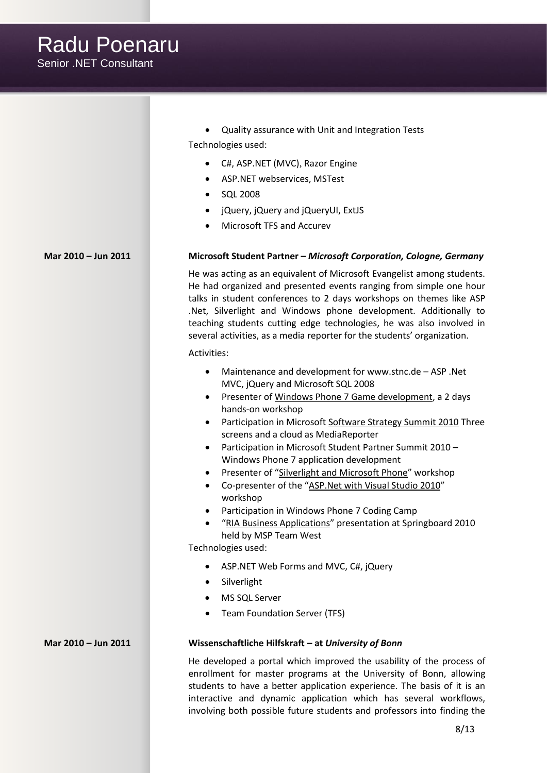Senior .NET Consultant • Quality assurance with Unit and Integration Tests Technologies used: • C#, ASP.NET (MVC), Razor Engine • ASP.NET webservices, MSTest • SQL 2008 • jQuery, jQuery and jQueryUI, ExtJS • Microsoft TFS and Accurev **Mar 2010 – Jun 2011 Microsoft Student Partner –** *Microsoft Corporation, Cologne, Germany* He was acting as an equivalent of Microsoft Evangelist among students. He had organized and presented events ranging from simple one hour talks in student conferences to 2 days workshops on themes like ASP .Net, Silverlight and Windows phone development. Additionally to teaching students cutting edge technologies, he was also involved in several activities, as a media reporter for the students' organization. Activities: • Maintenance and development fo[r www.stnc.de](http://www.stnc.de/) – ASP .Net MVC, jQuery and Microsoft SQL 2008 • Presenter of [Windows Phone 7 Game development,](http://www.stnc.de/events/2010/10/07/3828-Windows-Phone-7-Game-development) a 2 days hands-on workshop Participation in Microsoft [Software Strategy Summit 2010](http://www.stnc.de/articles/2010/10/03/3799-Software-strategy-summit-2010) Three screens and a cloud as MediaReporter • Participation in Microsoft Student Partner Summit 2010 – Windows Phone 7 application development • Presenter of "[Silverlight and Microsoft Phone](http://www.stnc.de/events/2010/08/10/3518-Silverlight-and-Microsoft-Phone-workshop)" workshop • Co-presenter of the "[ASP.Net with Visual Studio 2010](http://www.stnc.de/events/2010/06/14/3215-ASP-NET-Workshop)" workshop • Participation in Windows Phone 7 Coding Camp • "[RIA Business Applications](http://springboard.stnc.de/2010/Talks/Details/24)" presentation at Springboard 2010 held by MSP Team West Technologies used: • ASP.NET Web Forms and MVC, C#, jQuery • Silverlight MS SQL Server • Team Foundation Server (TFS) **Mar 2010 – Jun 2011 Wissenschaftliche Hilfskraft – at** *University of Bonn* He developed a portal which improved the usability of the process of enrollment for master programs at the University of Bonn, allowing students to have a better application experience. The basis of it is an interactive and dynamic application which has several workflows,

Radu Poenaru

involving both possible future students and professors into finding the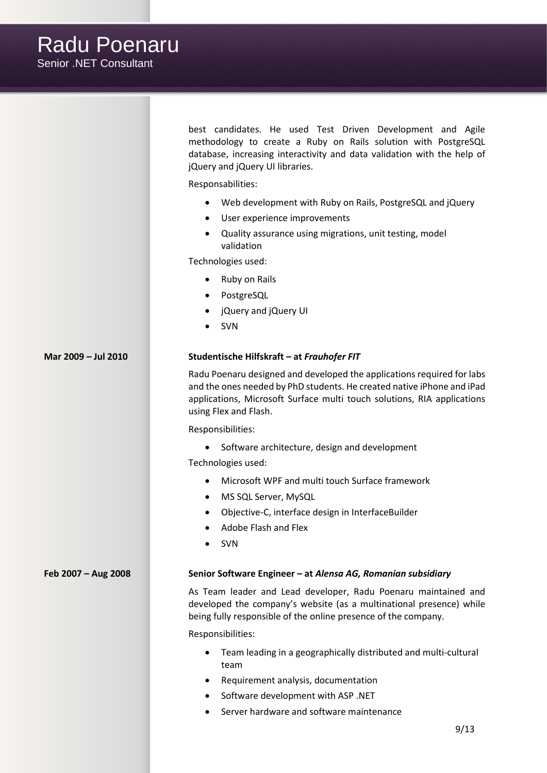Radu Poenaru Senior .NET Consultant best candidates. He used Test Driven Development and Agile methodology to create a Ruby on Rails solution with PostgreSQL database, increasing interactivity and data validation with the help of jQuery and jQuery UI libraries. Responsabilities: • Web development with Ruby on Rails, PostgreSQL and jQuery User experience improvements • Quality assurance using migrations, unit testing, model validation Technologies used: • Ruby on Rails **PostgreSQL** • jQuery and jQuery UI • SVN

#### **Mar 2009 – Jul 2010 Studentische Hilfskraft – at** *Frauhofer FIT*

Radu Poenaru designed and developed the applications required for labs and the ones needed by PhD students. He created native iPhone and iPad applications, Microsoft Surface multi touch solutions, RIA applications using Flex and Flash.

Responsibilities:

• Software architecture, design and development

Technologies used:

- Microsoft WPF and multi touch Surface framework
- MS SQL Server, MySQL
- Objective-C, interface design in InterfaceBuilder
- Adobe Flash and Flex
- SVN

#### **Feb 2007 – Aug 2008 Senior Software Engineer – at** *Alensa AG, Romanian subsidiary*

As Team leader and Lead developer, Radu Poenaru maintained and developed the company's website (as a multinational presence) while being fully responsible of the online presence of the company.

Responsibilities:

- Team leading in a geographically distributed and multi-cultural team
- Requirement analysis, documentation
- Software development with ASP .NET
- Server hardware and software maintenance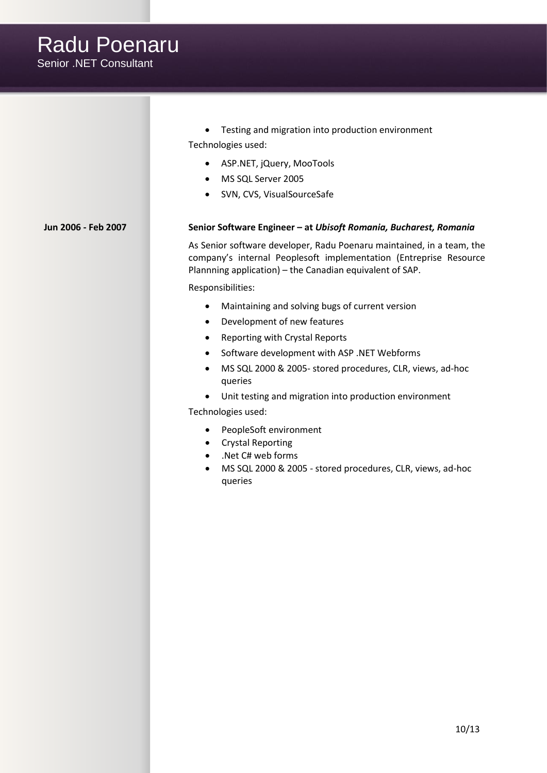Radu Poenaru Senior .NET Consultant • Testing and migration into production environment Technologies used: • ASP.NET, jQuery, MooTools • MS SQL Server 2005 • SVN, CVS, VisualSourceSafe **Jun 2006 - Feb 2007 Senior Software Engineer – at** *Ubisoft Romania, Bucharest, Romania* As Senior software developer, Radu Poenaru maintained, in a team, the company's internal Peoplesoft implementation (Entreprise Resource Plannning application) – the Canadian equivalent of SAP. Responsibilities: • Maintaining and solving bugs of current version • Development of new features • Reporting with Crystal Reports • Software development with ASP .NET Webforms • MS SQL 2000 & 2005- stored procedures, CLR, views, ad-hoc queries • Unit testing and migration into production environment Technologies used: • PeopleSoft environment • Crystal Reporting • .Net C# web forms • MS SQL 2000 & 2005 - stored procedures, CLR, views, ad-hoc queries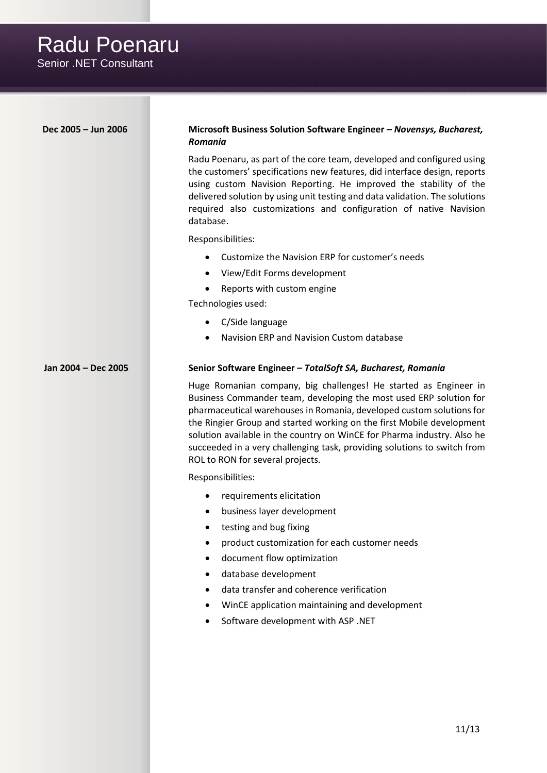| Dec 2005 - Jun 2006 | Microsoft Business Solution Software Engineer - Novensys, Bucharest,<br>Romania                                                                                                                                                                                                                                                                                                                                                                                                    |
|---------------------|------------------------------------------------------------------------------------------------------------------------------------------------------------------------------------------------------------------------------------------------------------------------------------------------------------------------------------------------------------------------------------------------------------------------------------------------------------------------------------|
|                     | Radu Poenaru, as part of the core team, developed and configured using<br>the customers' specifications new features, did interface design, reports<br>using custom Navision Reporting. He improved the stability of the<br>delivered solution by using unit testing and data validation. The solutions<br>required also customizations and configuration of native Navision<br>database.                                                                                          |
|                     | Responsibilities:                                                                                                                                                                                                                                                                                                                                                                                                                                                                  |
|                     | Customize the Navision ERP for customer's needs                                                                                                                                                                                                                                                                                                                                                                                                                                    |
|                     | View/Edit Forms development<br>$\bullet$                                                                                                                                                                                                                                                                                                                                                                                                                                           |
|                     | Reports with custom engine                                                                                                                                                                                                                                                                                                                                                                                                                                                         |
|                     | Technologies used:                                                                                                                                                                                                                                                                                                                                                                                                                                                                 |
|                     | C/Side language                                                                                                                                                                                                                                                                                                                                                                                                                                                                    |
|                     | Navision ERP and Navision Custom database<br>$\bullet$                                                                                                                                                                                                                                                                                                                                                                                                                             |
| Jan 2004 - Dec 2005 | Senior Software Engineer - TotalSoft SA, Bucharest, Romania                                                                                                                                                                                                                                                                                                                                                                                                                        |
|                     | Huge Romanian company, big challenges! He started as Engineer in<br>Business Commander team, developing the most used ERP solution for<br>pharmaceutical warehouses in Romania, developed custom solutions for<br>the Ringier Group and started working on the first Mobile development<br>solution available in the country on WinCE for Pharma industry. Also he<br>succeeded in a very challenging task, providing solutions to switch from<br>ROL to RON for several projects. |
|                     | Responsibilities:                                                                                                                                                                                                                                                                                                                                                                                                                                                                  |
|                     | requirements elicitation<br>٠<br>business layer development<br>testing and bug fixing<br>product customization for each customer needs<br>document flow optimization<br>database development<br>data transfer and coherence verification<br>WinCE application maintaining and development<br>Software development with ASP .NET                                                                                                                                                    |
|                     |                                                                                                                                                                                                                                                                                                                                                                                                                                                                                    |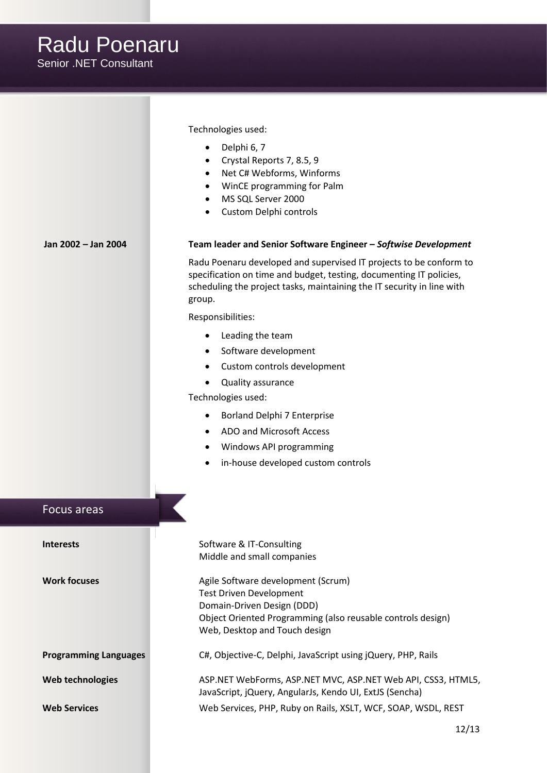|                              | Technologies used:<br>Delphi 6, 7<br>Crystal Reports 7, 8.5, 9<br>$\bullet$<br>Net C# Webforms, Winforms<br>$\bullet$<br>WinCE programming for Palm<br>MS SQL Server 2000<br>$\bullet$<br>Custom Delphi controls                                                                                                                                                                                                                                                   |
|------------------------------|--------------------------------------------------------------------------------------------------------------------------------------------------------------------------------------------------------------------------------------------------------------------------------------------------------------------------------------------------------------------------------------------------------------------------------------------------------------------|
| Jan 2002 - Jan 2004          | Team leader and Senior Software Engineer - Softwise Development                                                                                                                                                                                                                                                                                                                                                                                                    |
|                              | Radu Poenaru developed and supervised IT projects to be conform to<br>specification on time and budget, testing, documenting IT policies,<br>scheduling the project tasks, maintaining the IT security in line with<br>group.<br>Responsibilities:<br>Leading the team<br>٠<br>Software development<br>Custom controls development<br>Quality assurance<br>$\bullet$<br>Technologies used:<br>Borland Delphi 7 Enterprise<br>$\bullet$<br>ADO and Microsoft Access |
|                              | Windows API programming<br>$\bullet$                                                                                                                                                                                                                                                                                                                                                                                                                               |
| Focus areas                  | in-house developed custom controls                                                                                                                                                                                                                                                                                                                                                                                                                                 |
|                              |                                                                                                                                                                                                                                                                                                                                                                                                                                                                    |
| <b>Interests</b>             | Software & IT-Consulting<br>Middle and small companies                                                                                                                                                                                                                                                                                                                                                                                                             |
| <b>Work focuses</b>          | Agile Software development (Scrum)<br><b>Test Driven Development</b><br>Domain-Driven Design (DDD)<br>Object Oriented Programming (also reusable controls design)<br>Web, Desktop and Touch design                                                                                                                                                                                                                                                                 |
| <b>Programming Languages</b> | C#, Objective-C, Delphi, JavaScript using jQuery, PHP, Rails                                                                                                                                                                                                                                                                                                                                                                                                       |
| Web technologies             | ASP.NET WebForms, ASP.NET MVC, ASP.NET Web API, CSS3, HTML5,<br>JavaScript, jQuery, AngularJs, Kendo UI, ExtJS (Sencha)                                                                                                                                                                                                                                                                                                                                            |
| <b>Web Services</b>          | Web Services, PHP, Ruby on Rails, XSLT, WCF, SOAP, WSDL, REST                                                                                                                                                                                                                                                                                                                                                                                                      |
|                              | 12/13                                                                                                                                                                                                                                                                                                                                                                                                                                                              |